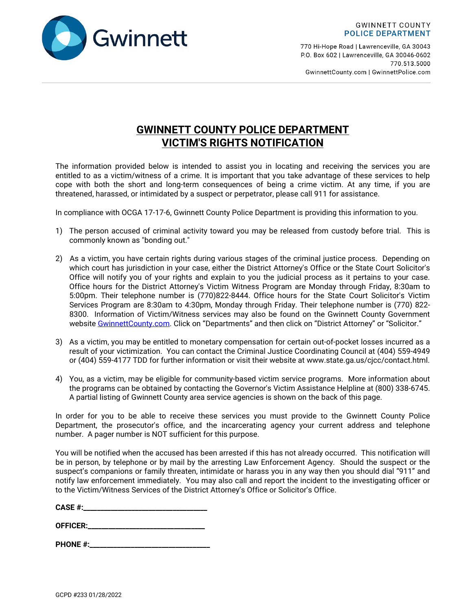

770 Hi-Hope Road | Lawrenceville, GA 30043 P.O. Box 602 | Lawrenceville, GA 30046-0602 770.513.5000 GwinnettCounty.com | GwinnettPolice.com

## **GWINNETT COUNTY POLICE DEPARTMENT VICTIM'S RIGHTS NOTIFICATION**

The information provided below is intended to assist you in locating and receiving the services you are entitled to as a victim/witness of a crime. It is important that you take advantage of these services to help cope with both the short and long-term consequences of being a crime victim. At any time, if you are threatened, harassed, or intimidated by a suspect or perpetrator, please call 911 for assistance.

In compliance with OCGA 17-17-6, Gwinnett County Police Department is providing this information to you.

- 1) The person accused of criminal activity toward you may be released from custody before trial. This is commonly known as "bonding out."
- 2) As a victim, you have certain rights during various stages of the criminal justice process. Depending on which court has jurisdiction in your case, either the District Attorney's Office or the State Court Solicitor's Office will notify you of your rights and explain to you the judicial process as it pertains to your case. Office hours for the District Attorney's Victim Witness Program are Monday through Friday, 8:30am to 5:00pm. Their telephone number is (770)822-8444. Office hours for the State Court Solicitor's Victim Services Program are 8:30am to 4:30pm, Monday through Friday. Their telephone number is (770) 822- 8300. Information of Victim/Witness services may also be found on the Gwinnett County Government website [GwinnettCounty.com.](http://www.gwinnettcounty.com/) Click on "Departments" and then click on "District Attorney" or "Solicitor."
- 3) As a victim, you may be entitled to monetary compensation for certain out-of-pocket losses incurred as a result of your victimization. You can contact the Criminal Justice Coordinating Council at (404) 559-4949 or (404) 559-4177 TDD for further information or visit their website at www.state.ga.us/cjcc/contact.html.
- 4) You, as a victim, may be eligible for community-based victim service programs. More information about the programs can be obtained by contacting the Governor's Victim Assistance Helpline at (800) 338-6745. A partial listing of Gwinnett County area service agencies is shown on the back of this page.

In order for you to be able to receive these services you must provide to the Gwinnett County Police Department, the prosecutor's office, and the incarcerating agency your current address and telephone number. A pager number is NOT sufficient for this purpose.

You will be notified when the accused has been arrested if this has not already occurred. This notification will be in person, by telephone or by mail by the arresting Law Enforcement Agency. Should the suspect or the suspect's companions or family threaten, intimidate or harass you in any way then you should dial "911" and notify law enforcement immediately. You may also call and report the incident to the investigating officer or to the Victim/Witness Services of the District Attorney's Office or Solicitor's Office.

**CASE #:\_\_\_\_\_\_\_\_\_\_\_\_\_\_\_\_\_\_\_\_\_\_\_\_\_\_\_\_\_\_\_\_\_\_\_\_**

**OFFICER:\_\_\_\_\_\_\_\_\_\_\_\_\_\_\_\_\_\_\_\_\_\_\_\_\_\_\_\_\_\_\_\_\_\_**